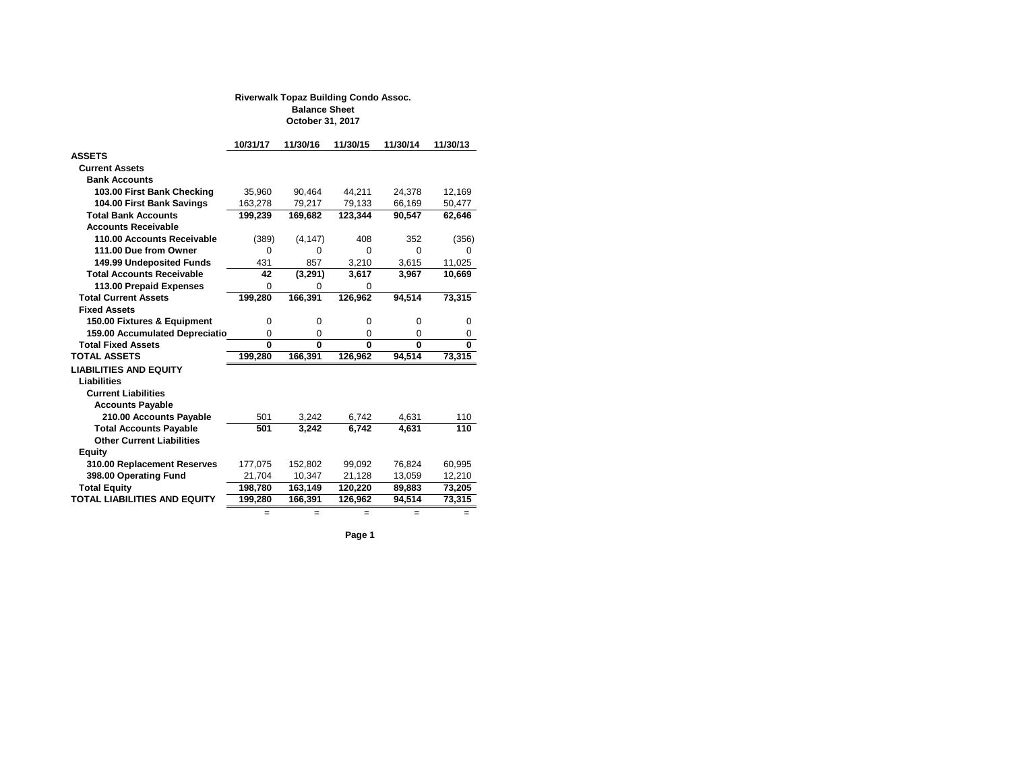|                                       | 10/31/17                | 11/30/16       | 11/30/15                | 11/30/14       | 11/30/13    |
|---------------------------------------|-------------------------|----------------|-------------------------|----------------|-------------|
| <b>ASSETS</b>                         |                         |                |                         |                |             |
| <b>Current Assets</b>                 |                         |                |                         |                |             |
| <b>Bank Accounts</b>                  |                         |                |                         |                |             |
| 103.00 First Bank Checking            | 35,960                  | 90,464         | 44,211                  | 24,378         | 12,169      |
| 104.00 First Bank Savings             | 163,278                 | 79,217         | 79,133                  | 66,169         | 50,477      |
| <b>Total Bank Accounts</b>            | 199,239                 | 169,682        | 123,344                 | 90,547         | 62,646      |
| <b>Accounts Receivable</b>            |                         |                |                         |                |             |
| 110.00 Accounts Receivable            | (389)                   | (4, 147)       | 408                     | 352            | (356)       |
| 111.00 Due from Owner                 | $\overline{0}$          | 0              | $\overline{0}$          | $\overline{0}$ | $\mathbf 0$ |
| <b>149.99 Undeposited Funds</b>       | 431                     | 857            | 3,210                   | 3,615          | 11,025      |
| <b>Total Accounts Receivable</b>      | 42                      | (3,291)        | 3,617                   | 3,967          | 10,669      |
| <b>113.00 Prepaid Expenses</b>        | $\overline{0}$          | $\overline{0}$ | 0                       |                |             |
| <b>Total Current Assets</b>           | 199,280                 | 166,391        | 126,962                 | 94,514         | 73,315      |
| <b>Fixed Assets</b>                   |                         |                |                         |                |             |
| 150.00 Fixtures & Equipment           | 0                       | 0              | 0                       | 0              | 0           |
| <b>159.00 Accumulated Depreciatio</b> | $\overline{0}$          | $\overline{0}$ | $\overline{0}$          | $\mathbf 0$    | 0           |
| <b>Total Fixed Assets</b>             | $\overline{\mathbf{0}}$ | $\mathbf{0}$   | $\overline{\mathbf{0}}$ | $\mathbf{0}$   | $\mathbf 0$ |
| <b>TOTAL ASSETS</b>                   | 199,280                 | 166,391        | 126,962                 | 94,514         | 73,315      |
| <b>LIABILITIES AND EQUITY</b>         |                         |                |                         |                |             |
| <b>Liabilities</b>                    |                         |                |                         |                |             |
| <b>Current Liabilities</b>            |                         |                |                         |                |             |
| <b>Accounts Payable</b>               |                         |                |                         |                |             |
| 210.00 Accounts Payable               | 501                     | 3,242          | 6,742                   | 4,631          | 110         |
| <b>Total Accounts Payable</b>         | 501                     | 3,242          | 6,742                   | 4,631          | 110         |
| <b>Other Current Liabilities</b>      |                         |                |                         |                |             |
| <b>Equity</b>                         |                         |                |                         |                |             |
| 310.00 Replacement Reserves           | 177,075                 | 152,802        | 99,092                  | 76,824         | 60,995      |
| 398.00 Operating Fund                 | 21,704                  | 10,347         | 21,128                  | 13,059         | 12,210      |
| <b>Total Equity</b>                   | 198,780                 | 163, 149       | 120,220                 | 89,883         | 73,205      |
| <b>TOTAL LIABILITIES AND EQUITY</b>   | 199,280                 | 166,391        | 126,962                 | 94,514         | 73,315      |
|                                       | $=$                     | $=$            | $=$                     | $=$            | $=$         |

**Page 1**

### **Riverwalk Topaz Building Condo Assoc. Balance Sheet October 31, 2017**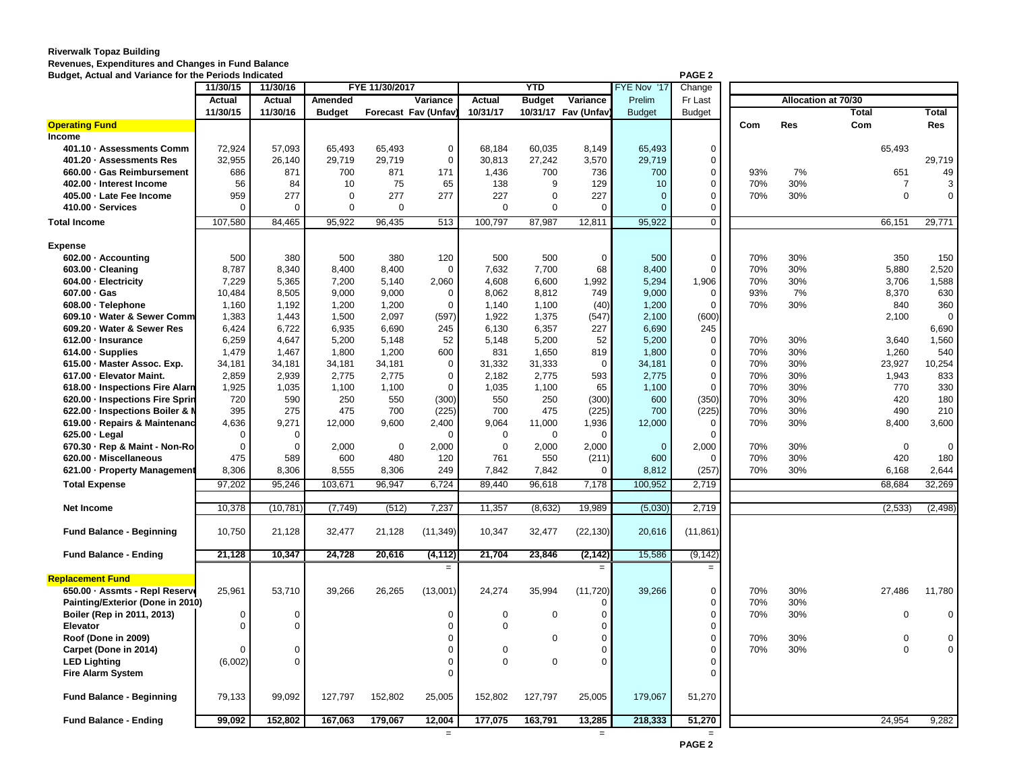# **Riverwalk Topaz Building Revenues, Expenditures and Changes in Fund Balance**

| <b>Budget, Actual and Variance for the Periods Indicated</b> |               |                |                |                |                             |               |                |                         |               | PAGE <sub>2</sub> |     |            |                     |                |
|--------------------------------------------------------------|---------------|----------------|----------------|----------------|-----------------------------|---------------|----------------|-------------------------|---------------|-------------------|-----|------------|---------------------|----------------|
|                                                              | 11/30/15      | 11/30/16       |                | FYE 11/30/2017 |                             |               | <b>YTD</b>     |                         | FYE Nov '17   | Change            |     |            |                     |                |
|                                                              | <b>Actual</b> | <b>Actual</b>  | <b>Amended</b> |                | <b>Variance</b>             | <b>Actual</b> | <b>Budget</b>  | Variance                | Prelim        | Fr Last           |     |            | Allocation at 70/30 |                |
|                                                              | 11/30/15      | 11/30/16       | <b>Budget</b>  |                | <b>Forecast Fav (Unfav)</b> | 10/31/17      |                | 10/31/17    Fav (Unfav) | <b>Budget</b> | <b>Budget</b>     |     |            | <b>Total</b>        | <b>Total</b>   |
| <b>Operating Fund</b>                                        |               |                |                |                |                             |               |                |                         |               |                   | Com | <b>Res</b> | Com                 | <b>Res</b>     |
| <b>Income</b>                                                |               |                |                |                |                             |               |                |                         |               |                   |     |            |                     |                |
| 401.10 · Assessments Comm                                    | 72,924        | 57,093         | 65,493         | 65,493         | $\mathbf 0$                 | 68,184        | 60,035         | 8,149                   | 65,493        | $\mathbf 0$       |     |            | 65,493              |                |
| 401.20 · Assessments Res                                     | 32,955        | 26,140         | 29,719         | 29,719         | $\overline{0}$              | 30,813        | 27,242         | 3,570                   | 29,719        | $\overline{0}$    |     |            |                     | 29,719         |
| 660.00 · Gas Reimbursement                                   | 686           | 871            | 700            | 871            | 171                         | 1,436         | 700            | 736                     | 700           | $\overline{0}$    | 93% | 7%         | 651                 | 49             |
| 402.00 - Interest Income                                     | 56            | 84             | 10             | 75             | 65                          | 138           | 9              | 129                     | 10            | $\overline{0}$    | 70% | 30%        |                     | $\mathbf{3}$   |
| 405.00 · Late Fee Income                                     | 959           | 277            | 0              | 277            | 277                         | 227           | $\Omega$       | 227                     |               | $\Omega$          | 70% | 30%        | $\overline{0}$      | $\overline{0}$ |
| 410.00 · Services                                            | $\Omega$      | $\mathbf 0$    | $\Omega$       | $\Omega$       |                             | $\Omega$      | $\mathbf 0$    | $\overline{0}$          |               | $\Omega$          |     |            |                     |                |
| <b>Total Income</b>                                          | 107,580       | 84,465         | 95,922         | 96,435         | 513                         | 100,797       | 87,987         | 12,811                  | 95,922        | $\overline{0}$    |     |            | 66,151              | 29,771         |
|                                                              |               |                |                |                |                             |               |                |                         |               |                   |     |            |                     |                |
| <b>Expense</b>                                               |               |                |                |                |                             |               |                |                         |               |                   |     |            |                     |                |
| 602.00 - Accounting                                          | 500           | 380            | 500            | 380            | 120                         | 500           | 500            | $\overline{0}$          | 500           | $\mathbf 0$       | 70% | 30%        | 350                 | 150            |
| 603.00 · Cleaning                                            | 8,787         | 8,340          | 8,400          | 8,400          | $\Omega$                    | 7,632         | 7,700          | 68                      | 8,400         | $\overline{0}$    | 70% | 30%        | 5,880               | 2,520          |
| 604.00 - Electricity                                         | 7,229         | 5,365          | 7,200          | 5,140          | 2,060                       | 4,608         | 6,600          | 1,992                   | 5,294         | 1,906             | 70% | 30%        | 3,706               | 1,588          |
| $607.00 \cdot Gas$                                           | 10,484        | 8,505          | 9,000          | 9,000          | -0                          | 8,062         | 8,812          | 749                     | 9,000         | $\overline{0}$    | 93% | 7%         | 8,370               | 630            |
| 608.00 · Telephone                                           | 1,160         | 1,192          | 1,200          | 1,200          | -0                          | 1,140         | 1,100          | (40)                    | 1,200         | -0                | 70% | 30%        | 840                 | 360            |
| 609.10 · Water & Sewer Comm                                  | 1,383         | 1,443          | 1,500          | 2,097          | (597)                       | 1,922         | 1,375          | (547)                   | 2,100         | (600)             |     |            | 2,100               | $\mathbf 0$    |
| 609.20 · Water & Sewer Res                                   | 6,424         | 6,722          | 6,935          | 6,690          | 245                         | 6,130         | 6,357          | 227                     | 6,690         | 245               |     |            |                     | 6,690          |
| 612.00 - Insurance                                           | 6,259         | 4,647          | 5,200          | 5,148          | 52                          | 5,148         | 5,200          | 52                      | 5,200         | $\mathbf 0$       | 70% | 30%        | 3,640               | 1,560          |
| 614.00 · Supplies                                            | 1,479         | 1,467          | 1,800          | 1,200          | 600                         | 831           | 1,650          | 819                     | 1,800         | $\mathbf 0$       | 70% | 30%        | 1,260               | 540            |
| 615.00 - Master Assoc. Exp.                                  | 34,181        | 34,181         | 34,181         | 34,181         | $\mathbf 0$                 | 31,332        | 31,333         | $\overline{0}$          | 34,181        | $\overline{0}$    | 70% | 30%        | 23,927              | 10,254         |
| 617.00 - Elevator Maint.                                     | 2,859         | 2,939          | 2,775          | 2,775          | 0                           | 2,182         | 2,775          | 593                     | 2,775         | $\overline{0}$    | 70% | 30%        | 1,943               | 833            |
| 618.00 · Inspections Fire Alarn                              | 1,925         | 1,035          | 1,100          | 1,100          | $\mathbf 0$                 | 1,035         | 1,100          | 65                      | 1,100         | $\overline{0}$    | 70% | 30%        | 770                 | 330            |
| 620.00 · Inspections Fire Sprin                              | 720           | 590            | 250            | 550            | (300)                       | 550           | 250            | (300)                   | 600           | (350)             | 70% | 30%        | 420                 | 180            |
| 622.00 · Inspections Boiler & N                              | 395           | 275            | 475            | 700            | (225)                       | 700           | 475            | (225)                   | 700           | (225)             | 70% | 30%        | 490                 | 210            |
| 619.00 · Repairs & Maintenand                                | 4,636         | 9,271          | 12,000         | 9,600          | 2,400                       | 9,064         | 11,000         | 1,936                   | 12,000        | $\overline{0}$    | 70% | 30%        | 8,400               | 3,600          |
| $625.00 \cdot$ Legal                                         |               |                |                |                |                             |               | 0              |                         |               | -0                |     |            |                     |                |
| 670.30 · Rep & Maint - Non-Ro                                |               | $\overline{0}$ | 2,000          | $\mathbf 0$    | 2,000                       |               | 2,000          | 2,000                   | $\mathbf{0}$  | 2,000             | 70% | 30%        | $\overline{0}$      | $\overline{0}$ |
| 620.00 - Miscellaneous                                       | 475           | 589            | 600            | 480            | 120                         | 761           | 550            | (211)                   | 600           | - 0               | 70% | 30%        | 420                 | 180            |
| 621.00 · Property Management                                 | 8,306         | 8,306          | 8,555          | 8,306          | 249                         | 7,842         | 7,842          |                         | 8,812         | (257)             | 70% | 30%        | 6,168               | 2,644          |
| <b>Total Expense</b>                                         | 97,202        | 95,246         | 103,671        | 96,947         | 6,724                       | 89,440        | 96,618         | 7,178                   | 100,952       | 2,719             |     |            | 68,684              | 32,269         |
|                                                              |               |                |                |                |                             |               |                |                         |               |                   |     |            |                     |                |
| <b>Net Income</b>                                            | 10,378        | (10, 781)      | (7, 749)       | (512)          | 7,237                       | 11,357        | (8,632)        | 19,989                  | (5,030)       | 2,719             |     |            | (2,533)             | (2, 498)       |
| <b>Fund Balance - Beginning</b>                              | 10,750        | 21,128         | 32,477         | 21,128         | (11, 349)                   | 10,347        | 32,477         | (22, 130)               | 20,616        | (11, 861)         |     |            |                     |                |
| <b>Fund Balance - Ending</b>                                 | 21,128        | 10,347         | 24,728         | 20,616         | (4, 112)                    | 21,704        | 23,846         | (2, 142)                | 15,586        | (9, 142)          |     |            |                     |                |
|                                                              |               |                |                |                | $=$                         |               |                | $=$                     |               | $=$               |     |            |                     |                |
| <b>Replacement Fund</b>                                      |               |                |                |                |                             |               |                |                         |               |                   |     |            |                     |                |
| 650.00 · Assmts - Repl Reserve                               | 25,961        | 53,710         | 39,266         | 26,265         | (13,001)                    | 24,274        | 35,994         | (11, 720)               | 39,266        | $\mathbf 0$       | 70% | 30%        | 27,486              | 11,780         |
| <b>Painting/Exterior (Done in 2010)</b>                      |               |                |                |                |                             |               |                |                         |               | $\Omega$          | 70% | 30%        |                     |                |
| Boiler (Rep in 2011, 2013)                                   |               | $\overline{0}$ |                |                |                             |               | $\overline{0}$ |                         |               | $\Omega$          | 70% | 30%        | 0                   | $\mathbf{0}$   |
| <b>Elevator</b>                                              |               | $\overline{0}$ |                |                |                             |               |                |                         |               |                   |     |            |                     |                |
| Roof (Done in 2009)                                          |               |                |                |                |                             |               | $\overline{0}$ |                         |               | $\Omega$          | 70% | 30%        | 0                   | $\overline{0}$ |
| Carpet (Done in 2014)                                        |               | $\overline{0}$ |                |                |                             | $\mathbf 0$   |                |                         |               |                   | 70% | 30%        | $\overline{0}$      | $\overline{0}$ |
| <b>LED Lighting</b>                                          | (6,002)       | $\Omega$       |                |                |                             | $\Omega$      | $\overline{0}$ |                         |               |                   |     |            |                     |                |
| <b>Fire Alarm System</b>                                     |               |                |                |                |                             |               |                |                         |               |                   |     |            |                     |                |
| <b>Fund Balance - Beginning</b>                              | 79,133        | 99,092         | 127,797        | 152,802        | 25,005                      | 152,802       | 127,797        | 25,005                  | 179,067       | 51,270            |     |            |                     |                |
| <b>Fund Balance - Ending</b>                                 | 99,092        | 152,802        | 167,063        | 179,067        | 12,004                      | 177,075       | 163,791        | 13,285                  | 218,333       | 51,270            |     |            | 24,954              | 9,282          |
|                                                              |               |                |                |                | $=$                         |               |                | $=$                     |               | $=$               |     |            |                     |                |

**PAGE 2**